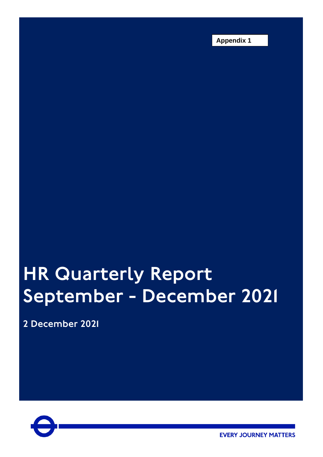**Appendix 1**

# HR Quarterly Report September - December 2021

2 December 2021



**EVERY JOURNEY MATTERS**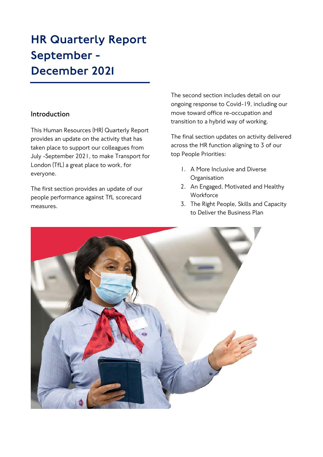# HR Quarterly Report September - December 2021

### **Introduction**

This Human Resources (HR) Quarterly Report provides an update on the activity that has taken place to support our colleagues from July -September 2021, to make Transport for London (TfL) a great place to work, for everyone.

The first section provides an update of our people performance against TfL scorecard measures.

The second section includes detail on our ongoing response to Covid-19, including our move toward office re-occupation and transition to a hybrid way of working.

The final section updates on activity delivered across the HR function aligning to 3 of our top People Priorities:

- 1. A More Inclusive and Diverse **Organisation**
- 2. An Engaged, Motivated and Healthy **Workforce**
- 3. The Right People, Skills and Capacity to Deliver the Business Plan

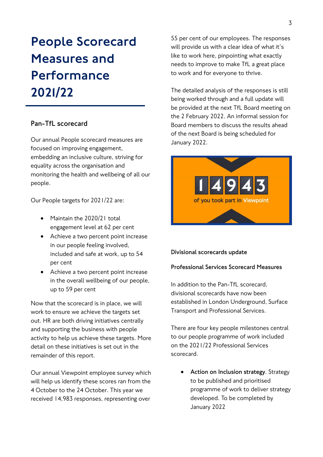# People Scorecard Measures and Performance 2021/22

### **Pan-TfL scorecard**

Our annual People scorecard measures are focused on improving engagement, embedding an inclusive culture, striving for equality across the organisation and monitoring the health and wellbeing of all our people.

Our People targets for 2021/22 are:

- Maintain the 2020/21 total engagement level at 62 per cent
- Achieve a two percent point increase in our people feeling involved, included and safe at work, up to 54 per cent
- Achieve a two percent point increase in the overall wellbeing of our people, up to 59 per cent

Now that the scorecard is in place, we will work to ensure we achieve the targets set out. HR are both driving initiatives centrally and supporting the business with people activity to help us achieve these targets. More detail on these initiatives is set out in the remainder of this report.

Our annual Viewpoint employee survey which will help us identify these scores ran from the 4 October to the 24 October. This year we received 14,983 responses, representing over

55 per cent of our employees. The responses will provide us with a clear idea of what it's like to work here, pinpointing what exactly needs to improve to make TfL a great place to work and for everyone to thrive.

The detailed analysis of the responses is still being worked through and a full update will be provided at the next TfL Board meeting on the 2 February 2022. An informal session for Board members to discuss the results ahead of the next Board is being scheduled for January 2022.



#### **Divisional scorecards update**

#### **Professional Services Scorecard Measures**

In addition to the Pan-TfL scorecard. divisional scorecards have now been established in London Underground, Surface Transport and Professional Services.

There are four key people milestones central to our people programme of work included on the 2021/22 Professional Services scorecard.

• **Action on Inclusion strategy**. Strategy to be published and prioritised programme of work to deliver strategy developed. To be completed by January 2022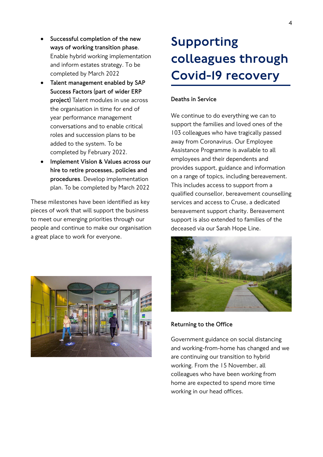- **Successful completion of the new ways of working transition phase**. Enable hybrid working implementation and inform estates strategy. To be completed by March 2022
- **Talent management enabled by SAP Success Factors (part of wider ERP project)** Talent modules in use across the organisation in time for end of year performance management conversations and to enable critical roles and succession plans to be added to the system. To be completed by February 2022.
- **Implement Vision & Values across our hire to retire processes, policies and procedures**. Develop implementation plan. To be completed by March 2022

These milestones have been identified as key pieces of work that will support the business to meet our emerging priorities through our people and continue to make our organisation a great place to work for everyone.



# Supporting colleagues through Covid-19 recovery

#### **Deaths in Service**

We continue to do everything we can to support the families and loved ones of the 103 colleagues who have tragically passed away from Coronavirus. Our Employee Assistance Programme is available to all employees and their dependents and provides support, guidance and information on a range of topics, including bereavement. This includes access to support from a qualified counsellor, bereavement counselling services and access to Cruse, a dedicated bereavement support charity. Bereavement support is also extended to families of the deceased via our Sarah Hope Line.



**Returning to the Office**

Government guidance on social distancing and working-from-home has changed and we are continuing our transition to hybrid working. From the 15 November, all colleagues who have been working from home are expected to spend more time working in our head offices.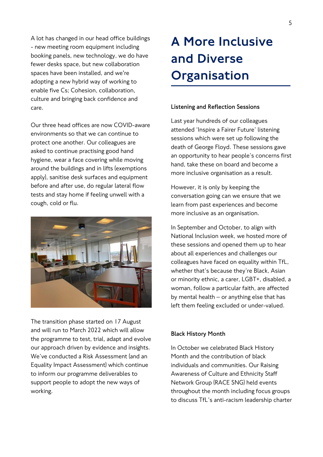A lot has changed in our head office buildings - new meeting room equipment including booking panels, new technology, we do have fewer desks space, but new collaboration spaces have been installed, and we're adopting a new hybrid way of working to enable five Cs; Cohesion, collaboration, culture and bringing back confidence and care.

Our three head offices are now COVID-aware environments so that we can continue to protect one another. Our colleagues are asked to continue practising good hand hygiene, wear a face covering while moving around the buildings and in lifts (exemptions apply), sanitise desk surfaces and equipment before and after use, do regular lateral flow tests and stay home if feeling unwell with a cough, cold or flu.



The transition phase started on 17 August and will run to March 2022 which will allow the programme to test, trial, adapt and evolve our approach driven by evidence and insights. We've conducted a Risk Assessment (and an Equality Impact Assessment) which continue to inform our programme deliverables to support people to adopt the new ways of working.

# A More Inclusive and Diverse **Organisation**

#### **Listening and Reflection Sessions**

Last year hundreds of our colleagues attended 'Inspire a Fairer Future' listening sessions which were set up following the death of George Floyd. These sessions gave an opportunity to hear people's concerns first hand, take these on board and become a more inclusive organisation as a result.

However, it is only by keeping the conversation going can we ensure that we learn from past experiences and become more inclusive as an organisation.

In September and October, to align with National Inclusion week, we hosted more of these sessions and opened them up to hear about all experiences and challenges our colleagues have faced on equality within TfL, whether that's because they're Black, Asian or minority ethnic, a carer, LGBT+, disabled, a woman, follow a particular faith, are affected by mental health – or anything else that has left them feeling excluded or under-valued.

#### **Black History Month**

In October we celebrated Black History Month and the contribution of black individuals and communities. Our Raising Awareness of Culture and Ethnicity Staff Network Group (RACE SNG) held events throughout the month including focus groups to discuss TfL's anti-racism leadership charter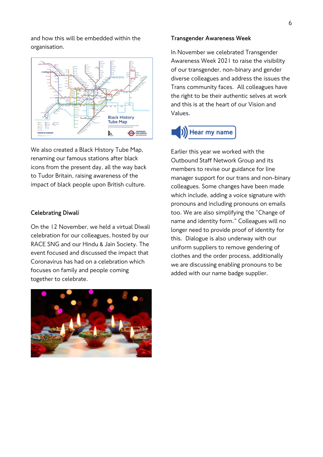and how this will be embedded within the organisation.



We also created a Black History Tube Map, renaming our famous stations after black icons from the present day, all the way back to Tudor Britain, raising awareness of the impact of black people upon British culture.

#### **Celebrating Diwali**

On the 12 November, we held a virtual Diwali celebration for our colleagues, hosted by our RACE SNG and our Hindu & Jain Society. The event focused and discussed the impact that Coronavirus has had on a celebration which focuses on family and people coming together to celebrate.

#### **Transgender Awareness Week**

In November we celebrated Transgender Awareness Week 2021 to raise the visibility of our transgender, non-binary and gender diverse colleagues and address the issues the Trans community faces. All colleagues have the right to be their authentic selves at work and this is at the heart of our Vision and Values.

## Hear my name

Earlier this year we worked with the Outbound Staff Network Group and its members to revise our guidance for line manager support for our trans and non-binary colleagues. Some changes have been made which include, adding a voice signature with pronouns and including pronouns on emails too. We are also simplifying the "Change of name and identity form." Colleagues will no longer need to provide proof of identity for this. Dialogue is also underway with our uniform suppliers to remove gendering of clothes and the order process, additionally we are discussing enabling pronouns to be added with our name badge supplier.

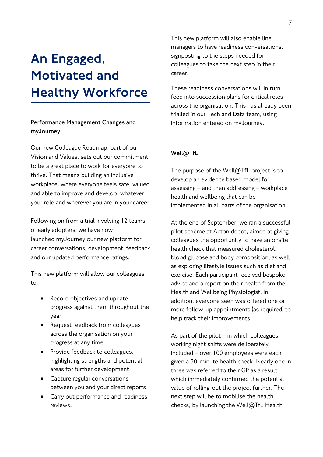# An Engaged, Motivated and Healthy Workforce

### **Performance Management Changes and myJourney**

Our new [Colleague Roadmap,](https://transportforlondon.sharepoint.com/sites/our-vision-and-values/SitePages/Colleague-Roadmap.aspx) part of our Vision and Values, sets out our commitment to be a great place to work for everyone to thrive. That means building an inclusive workplace, where everyone feels safe, valued and able to improve and develop, whatever your role and wherever you are in your career.

Following on from a trial involving 12 teams of early adopters, we have now launched [myJourney](https://transportforlondon.sharepoint.com/sites/myjourney-portal) our new platform for career conversations, development, feedback and our updated performance ratings.

This new platform will allow our colleagues to:

- Record objectives and update progress against them throughout the year.
- Request feedback from colleagues across the organisation on your progress at any time.
- Provide feedback to colleagues, highlighting strengths and potential areas for further development
- Capture regular conversations between you and your direct reports
- Carry out performance and readiness reviews.

This new platform will also enable line managers to have readiness conversations, signposting to the steps needed for colleagues to take the next step in their career.

These readiness conversations will in turn feed into succession plans for critical roles across the organisation. This has already been trialled in our Tech and Data team, using information entered on myJourney.

### **Well@TfL**

The purpose of the Well@TfL project is to develop an evidence based model for assessing – and then addressing – workplace health and wellbeing that can be implemented in all parts of the organisation.

At the end of September, we ran a successful pilot scheme at Acton depot, aimed at giving colleagues the opportunity to have an onsite health check that measured cholesterol, blood glucose and body composition, as well as exploring lifestyle issues such as diet and exercise. Each participant received bespoke advice and a report on their health from the Health and Wellbeing Physiologist. In addition, everyone seen was offered one or more follow-up appointments (as required) to help track their improvements.

As part of the pilot  $-$  in which colleagues working night shifts were deliberately included – over 100 employees were each given a 30-minute health check. Nearly one in three was referred to their GP as a result, which immediately confirmed the potential value of rolling-out the project further. The next step will be to mobilise the health checks, by launching the Well@TfL Health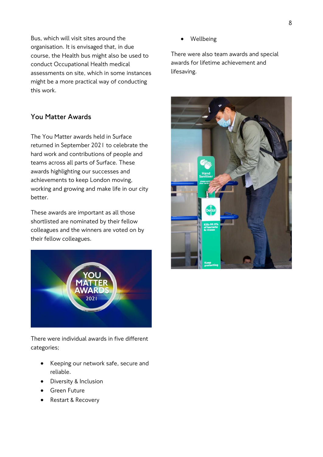8

Bus, which will visit sites around the organisation. It is envisaged that, in due course, the Health bus might also be used to conduct Occupational Health medical assessments on site, which in some instances might be a more practical way of conducting this work.

### **You Matter Awards**

The You Matter awards held in Surface returned in September 2021 to celebrate the hard work and contributions of people and teams across all parts of Surface. These awards highlighting our successes and achievements to keep London moving, working and growing and make life in our city better.

These awards are important as all those shortlisted are nominated by their fellow colleagues and the winners are voted on by their fellow colleagues.



There were individual awards in five different categories;

- Keeping our network safe, secure and reliable.
- Diversity & Inclusion
- Green Future
- Restart & Recovery

**Wellbeing** 

There were also team awards and special awards for lifetime achievement and lifesaving.

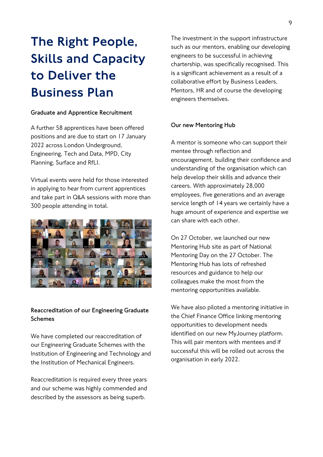# The Right People, Skills and Capacity to Deliver the Business Plan

#### **Graduate and Apprentice Recruitment**

A further 58 apprentices have been offered positions and are due to start on 17 January 2022 across London Underground, Engineering, Tech and Data, MPD, City Planning, Surface and RfLI.

Virtual events were held for those interested in applying to hear from current apprentices and take part in Q&A sessions with more than 300 people attending in total.



### **Reaccreditation of our Engineering Graduate Schemes**

We have completed our reaccreditation of our Engineering Graduate Schemes with the Institution of Engineering and Technology and the Institution of Mechanical Engineers.

Reaccreditation is required every three years and our scheme was highly commended and described by the assessors as being superb.

The investment in the support infrastructure such as our mentors, enabling our developing engineers to be successful in achieving chartership, was specifically recognised. This is a significant achievement as a result of a collaborative effort by Business Leaders, Mentors, HR and of course the developing engineers themselves.

#### **Our new Mentoring Hub**

A mentor is someone who can support their mentee through reflection and encouragement, building their confidence and understanding of the organisation which can help develop their skills and advance their careers. With approximately 28,000 employees, five generations and an average service length of 14 years we certainly have a huge amount of experience and expertise we can share with each other.

On 27 October, we launched our new Mentoring Hub site as part of National Mentoring Day on the 27 October. The Mentoring Hub has lots of refreshed resources and guidance to help our colleagues make the most from the mentoring opportunities available.

We have also piloted a mentoring initiative in the Chief Finance Office linking mentoring opportunities to development needs identified on our new MyJourney platform. This will pair mentors with mentees and if successful this will be rolled out across the organisation in early 2022.